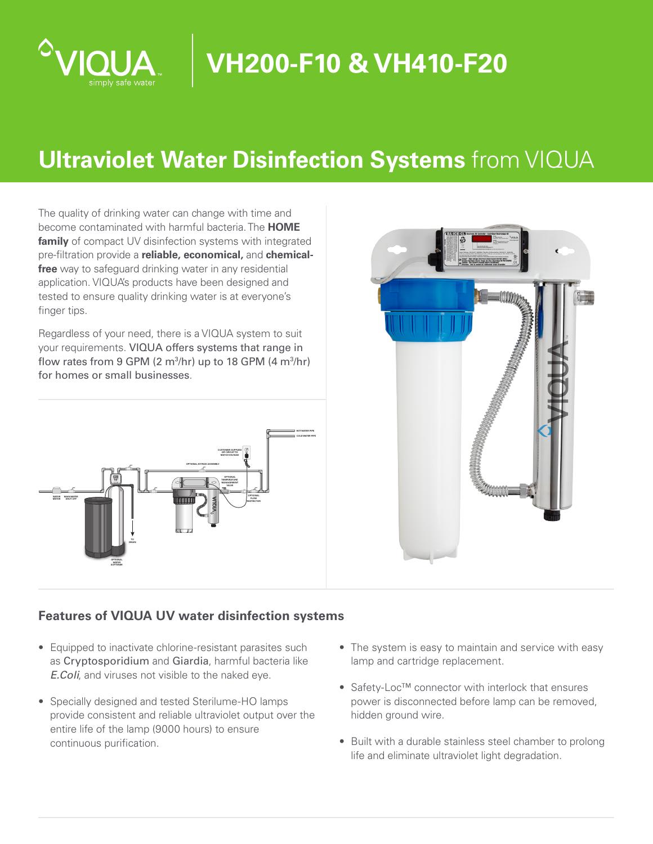

# **VH200-F10 & VH410-F20**

# **Ultraviolet Water Disinfection Systems** from VIQUA

The quality of drinking water can change with time and become contaminated with harmful bacteria. The **HOME family** of compact UV disinfection systems with integrated pre-filtration provide a **reliable, economical,** and **chemicalfree** way to safeguard drinking water in any residential application. VIQUA's products have been designed and tested to ensure quality drinking water is at everyone's finger tips.

Regardless of your need, there is a VIQUA system to suit your requirements. VIQUA offers systems that range in flow rates from 9 GPM (2  $m^3/hr$ ) up to 18 GPM (4  $m^3/hr$ ) for homes or small businesses.





### **Features of VIQUA UV water disinfection systems**

- Equipped to inactivate chlorine-resistant parasites such as Cryptosporidium and Giardia, harmful bacteria like *E.Coli*, and viruses not visible to the naked eye.
- Specially designed and tested Sterilume-HO lamps provide consistent and reliable ultraviolet output over the entire life of the lamp (9000 hours) to ensure continuous purification.
- The system is easy to maintain and service with easy lamp and cartridge replacement.
- Safety-Loc™ connector with interlock that ensures power is disconnected before lamp can be removed, hidden ground wire.
- Built with a durable stainless steel chamber to prolong life and eliminate ultraviolet light degradation.